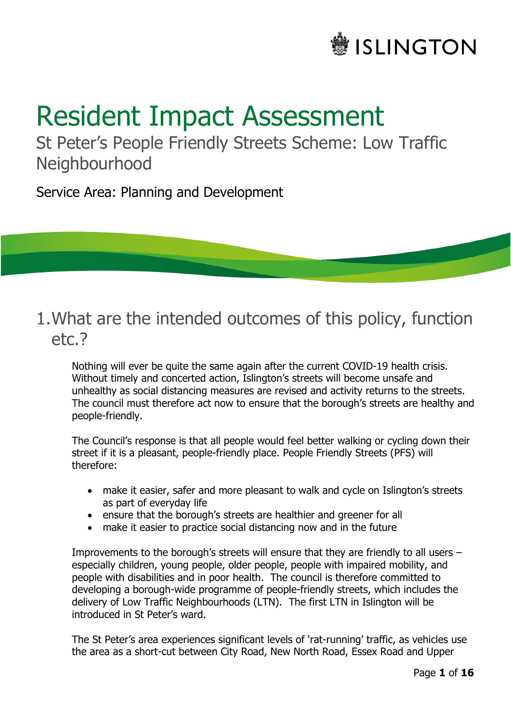# **SLINGTON**

# Resident Impact Assessment

St Peter's People Friendly Streets Scheme: Low Traffic **Neighbourhood** 

Service Area: Planning and Development

## 1.What are the intended outcomes of this policy, function etc.?

Nothing will ever be quite the same again after the current COVID-19 health crisis. Without timely and concerted action, Islington's streets will become unsafe and unhealthy as social distancing measures are revised and activity returns to the streets. The council must therefore act now to ensure that the borough's streets are healthy and people-friendly.

The Council's response is that all people would feel better walking or cycling down their street if it is a pleasant, people-friendly place. People Friendly Streets (PFS) will therefore:

- make it easier, safer and more pleasant to walk and cycle on Islington's streets as part of everyday life
- ensure that the borough's streets are healthier and greener for all
- make it easier to practice social distancing now and in the future

Improvements to the borough's streets will ensure that they are friendly to all users – especially children, young people, older people, people with impaired mobility, and people with disabilities and in poor health. The council is therefore committed to developing a borough-wide programme of people-friendly streets, which includes the delivery of Low Traffic Neighbourhoods (LTN). The first LTN in Islington will be introduced in St Peter's ward.

The St Peter's area experiences significant levels of 'rat-running' traffic, as vehicles use the area as a short-cut between City Road, New North Road, Essex Road and Upper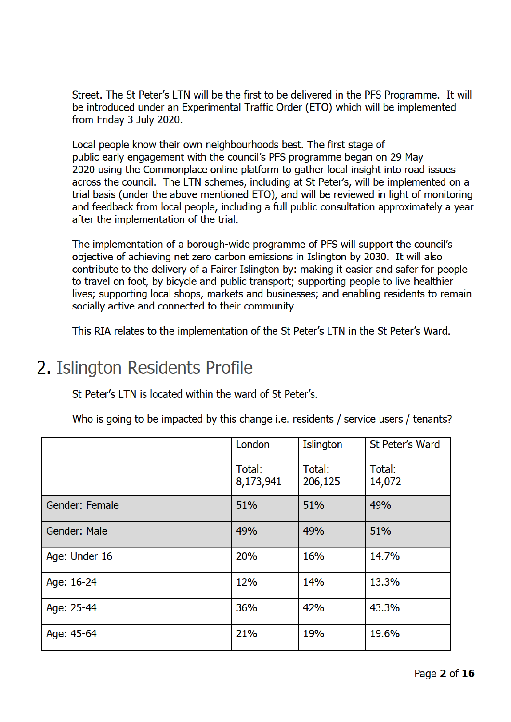Street. The St Peter's LTN will be the first to be delivered in the PFS Programme. It will be introduced under an Experimental Traffic Order (ETO) which will be implemented from Friday 3 July 2020.

Local people know their own neighbourhoods best. The first stage of public early engagement with the council's PFS programme began on 29 May 2020 using the Commonplace online platform to gather local insight into road issues across the council. The LTN schemes, including at St Peter's, will be implemented on a trial basis (under the above mentioned ETO), and will be reviewed in light of monitoring and feedback from local people, including a full public consultation approximately a year after the implementation of the trial.

The implementation of a borough-wide programme of PFS will support the council's objective of achieving net zero carbon emissions in Islington by 2030. It will also contribute to the delivery of a Fairer Islington by: making it easier and safer for people to travel on foot, by bicycle and public transport; supporting people to live healthier lives; supporting local shops, markets and businesses; and enabling residents to remain socially active and connected to their community.

This RIA relates to the implementation of the St Peter's LTN in the St Peter's Ward.

# 2. Islington Residents Profile

St Peter's LTN is located within the ward of St Peter's.

Who is going to be impacted by this change i.e. residents / service users / tenants?

|                | London              | Islington         | St Peter's Ward  |
|----------------|---------------------|-------------------|------------------|
|                | Total:<br>8,173,941 | Total:<br>206,125 | Total:<br>14,072 |
| Gender: Female | 51%                 | 51%               | 49%              |
| Gender: Male   | 49%                 | 49%               | 51%              |
| Age: Under 16  | 20%                 | 16%               | 14.7%            |
| Age: 16-24     | 12%                 | 14%               | 13.3%            |
| Age: 25-44     | 36%                 | 42%               | 43.3%            |
| Age: 45-64     | 21%                 | 19%               | 19.6%            |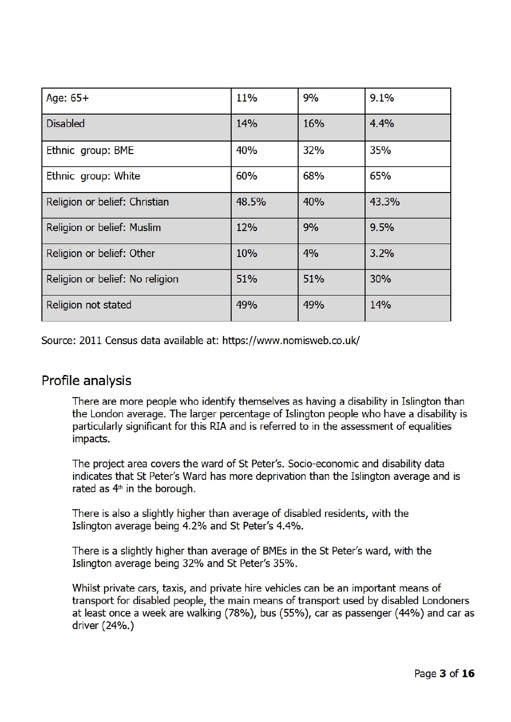| Age: $65+$                      | 11%   | 9%  | 9.1%  |
|---------------------------------|-------|-----|-------|
| <b>Disabled</b>                 | 14%   | 16% | 4.4%  |
| Ethnic group: BME               | 40%   | 32% | 35%   |
| Ethnic group: White             | 60%   | 68% | 65%   |
| Religion or belief: Christian   | 48.5% | 40% | 43.3% |
| Religion or belief: Muslim      | 12%   | 9%  | 9.5%  |
| Religion or belief: Other       | 10%   | 4%  | 3.2%  |
| Religion or belief: No religion | 51%   | 51% | 30%   |
| Religion not stated             | 49%   | 49% | 14%   |

Source: 2011 Census data available at: https://www.nomisweb.co.uk/

### **Profile analysis**

There are more people who identify themselves as having a disability in Islington than the London average. The larger percentage of Islington people who have a disability is particularly significant for this RIA and is referred to in the assessment of equalities impacts.

The project area covers the ward of St Peter's. Socio-economic and disability data indicates that St Peter's Ward has more deprivation than the Islington average and is rated as  $4<sup>th</sup>$  in the borough.

There is also a slightly higher than average of disabled residents, with the Islington average being 4.2% and St Peter's 4.4%.

There is a slightly higher than average of BMEs in the St Peter's ward, with the Islington average being 32% and St Peter's 35%.

Whilst private cars, taxis, and private hire vehicles can be an important means of transport for disabled people, the main means of transport used by disabled Londoners at least once a week are walking (78%), bus (55%), car as passenger (44%) and car as driver (24%.)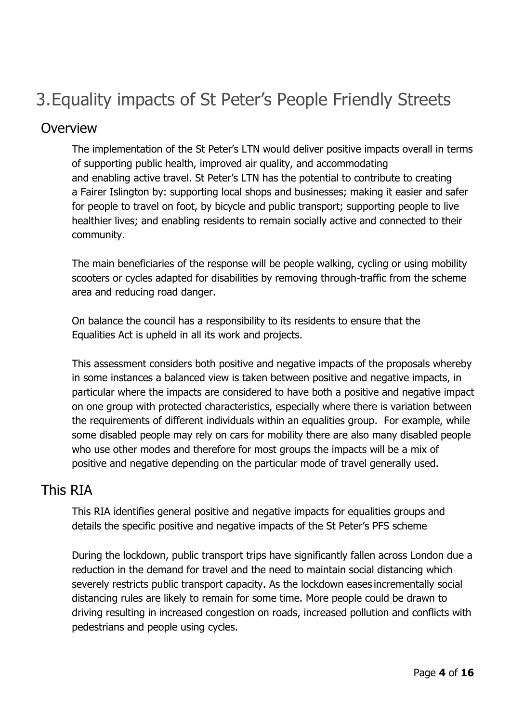# 3.Equality impacts of St Peter's People Friendly Streets

#### **Overview**

The implementation of the St Peter's LTN would deliver positive impacts overall in terms of supporting public health, improved air quality, and accommodating and enabling active travel. St Peter's LTN has the potential to contribute to creating a Fairer Islington by: supporting local shops and businesses; making it easier and safer for people to travel on foot, by bicycle and public transport; supporting people to live healthier lives; and enabling residents to remain socially active and connected to their community. 

The main beneficiaries of the response will be people walking, cycling or using mobility scooters or cycles adapted for disabilities by removing through-traffic from the scheme area and reducing road danger.

On balance the council has a responsibility to its residents to ensure that the Equalities Act is upheld in all its work and projects.

This assessment considers both positive and negative impacts of the proposals whereby in some instances a balanced view is taken between positive and negative impacts, in particular where the impacts are considered to have both a positive and negative impact on one group with protected characteristics, especially where there is variation between the requirements of different individuals within an equalities group. For example, while some disabled people may rely on cars for mobility there are also many disabled people who use other modes and therefore for most groups the impacts will be a mix of positive and negative depending on the particular mode of travel generally used.

### This RIA

This RIA identifies general positive and negative impacts for equalities groups and details the specific positive and negative impacts of the St Peter's PFS scheme

During the lockdown, public transport trips have significantly fallen across London due a reduction in the demand for travel and the need to maintain social distancing which severely restricts public transport capacity. As the lockdown eases incrementally social distancing rules are likely to remain for some time. More people could be drawn to driving resulting in increased congestion on roads, increased pollution and conflicts with pedestrians and people using cycles.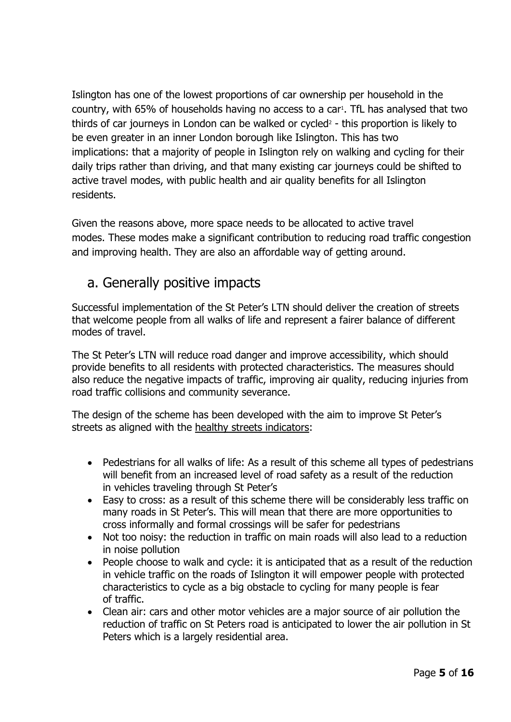Islington has one of the lowest proportions of car ownership per household in the country, with 65% of households having no access to a car<sup>1</sup>. TfL has analysed that two thirds of car journeys in London can be walked or cycled<sup>2</sup> - this proportion is likely to be even greater in an inner London borough like Islington. This has two implications: that a majority of people in Islington rely on walking and cycling for their daily trips rather than driving, and that many existing car journeys could be shifted to active travel modes, with public health and air quality benefits for all Islington residents.

Given the reasons above, more space needs to be allocated to active travel modes. These modes make a significant contribution to reducing road traffic congestion and improving health. They are also an affordable way of getting around.

## a. Generally positive impacts

Successful implementation of the St Peter's LTN should deliver the creation of streets that welcome people from all walks of life and represent a fairer balance of different modes of travel.

The St Peter's LTN will reduce road danger and improve accessibility, which should provide benefits to all residents with protected characteristics. The measures should also reduce the negative impacts of traffic, improving air quality, reducing injuries from road traffic collisions and community severance.

The design of the scheme has been developed with the aim to improve St Peter's streets as aligned with the healthy streets indicators:

- Pedestrians for all walks of life: As a result of this scheme all types of pedestrians will benefit from an increased level of road safety as a result of the reduction in vehicles traveling through St Peter's
- Easy to cross: as a result of this scheme there will be considerably less traffic on many roads in St Peter's. This will mean that there are more opportunities to cross informally and formal crossings will be safer for pedestrians
- Not too noisy: the reduction in traffic on main roads will also lead to a reduction in noise pollution
- People choose to walk and cycle: it is anticipated that as a result of the reduction in vehicle traffic on the roads of Islington it will empower people with protected characteristics to cycle as a big obstacle to cycling for many people is fear of traffic.
- Clean air: cars and other motor vehicles are a major source of air pollution the reduction of traffic on St Peters road is anticipated to lower the air pollution in St Peters which is a largely residential area.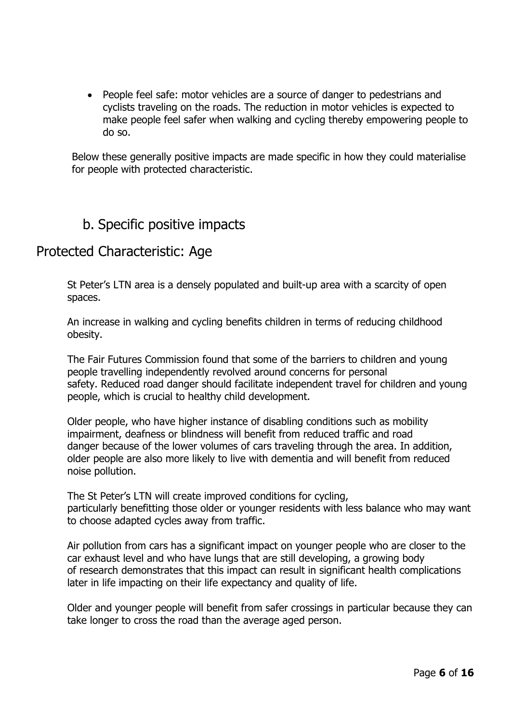• People feel safe: motor vehicles are a source of danger to pedestrians and cyclists traveling on the roads. The reduction in motor vehicles is expected to make people feel safer when walking and cycling thereby empowering people to do so.

Below these generally positive impacts are made specific in how they could materialise for people with protected characteristic.

## b. Specific positive impacts

### Protected Characteristic: Age

St Peter's LTN area is a densely populated and built-up area with a scarcity of open spaces.

An increase in walking and cycling benefits children in terms of reducing childhood obesity.

The Fair Futures Commission found that some of the barriers to children and young people travelling independently revolved around concerns for personal safety. Reduced road danger should facilitate independent travel for children and young people, which is crucial to healthy child development.

Older people, who have higher instance of disabling conditions such as mobility impairment, deafness or blindness will benefit from reduced traffic and road danger because of the lower volumes of cars traveling through the area. In addition, older people are also more likely to live with dementia and will benefit from reduced noise pollution.

The St Peter's LTN will create improved conditions for cycling, particularly benefitting those older or younger residents with less balance who may want to choose adapted cycles away from traffic.

Air pollution from cars has a significant impact on younger people who are closer to the car exhaust level and who have lungs that are still developing, a growing body of research demonstrates that this impact can result in significant health complications later in life impacting on their life expectancy and quality of life.

Older and younger people will benefit from safer crossings in particular because they can take longer to cross the road than the average aged person.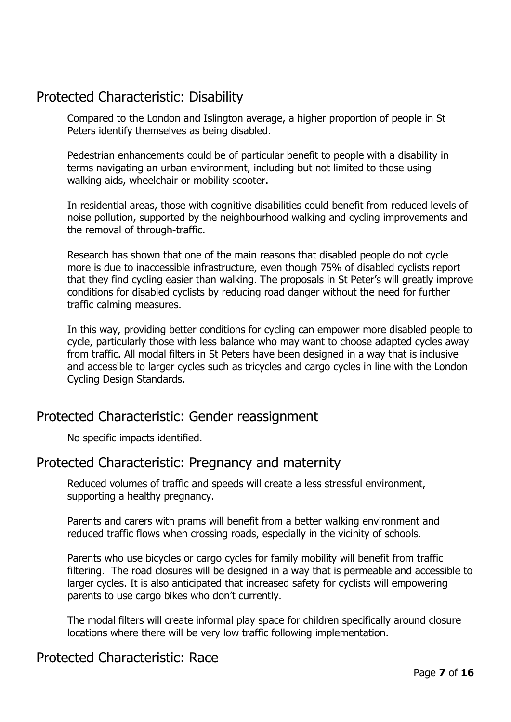## Protected Characteristic: Disability

Compared to the London and Islington average, a higher proportion of people in St Peters identify themselves as being disabled.

Pedestrian enhancements could be of particular benefit to people with a disability in terms navigating an urban environment, including but not limited to those using walking aids, wheelchair or mobility scooter.

In residential areas, those with cognitive disabilities could benefit from reduced levels of noise pollution, supported by the neighbourhood walking and cycling improvements and the removal of through-traffic.

Research has shown that one of the main reasons that disabled people do not cycle more is due to inaccessible infrastructure, even though 75% of disabled cyclists report that they find cycling easier than walking. The proposals in St Peter's will greatly improve conditions for disabled cyclists by reducing road danger without the need for further traffic calming measures.

In this way, providing better conditions for cycling can empower more disabled people to cycle, particularly those with less balance who may want to choose adapted cycles away from traffic. All modal filters in St Peters have been designed in a way that is inclusive and accessible to larger cycles such as tricycles and cargo cycles in line with the London Cycling Design Standards.

## Protected Characteristic: Gender reassignment

No specific impacts identified.

### Protected Characteristic: Pregnancy and maternity

Reduced volumes of traffic and speeds will create a less stressful environment, supporting a healthy pregnancy.

Parents and carers with prams will benefit from a better walking environment and reduced traffic flows when crossing roads, especially in the vicinity of schools.

Parents who use bicycles or cargo cycles for family mobility will benefit from traffic filtering. The road closures will be designed in a way that is permeable and accessible to larger cycles. It is also anticipated that increased safety for cyclists will empowering parents to use cargo bikes who don't currently.

The modal filters will create informal play space for children specifically around closure locations where there will be very low traffic following implementation.

## Protected Characteristic: Race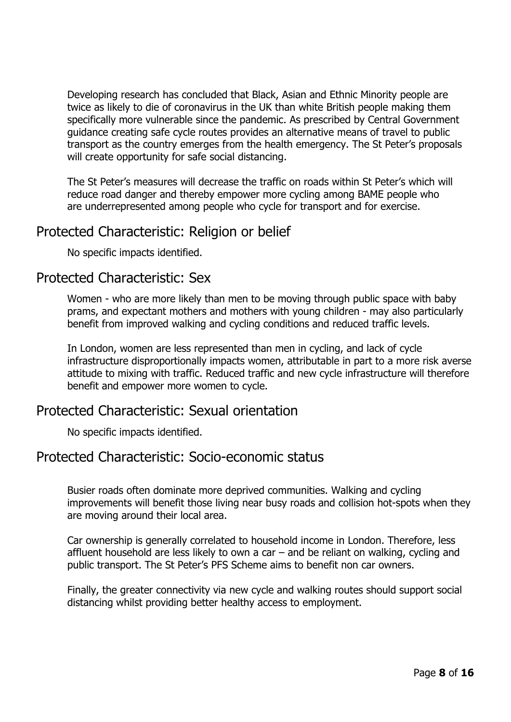Developing research has concluded that Black, Asian and Ethnic Minority people are twice as likely to die of coronavirus in the UK than white British people making them specifically more vulnerable since the pandemic. As prescribed by Central Government guidance creating safe cycle routes provides an alternative means of travel to public transport as the country emerges from the health emergency. The St Peter's proposals will create opportunity for safe social distancing.

The St Peter's measures will decrease the traffic on roads within St Peter's which will reduce road danger and thereby empower more cycling among BAME people who are underrepresented among people who cycle for transport and for exercise.

## Protected Characteristic: Religion or belief

No specific impacts identified.

#### Protected Characteristic: Sex

Women - who are more likely than men to be moving through public space with baby prams, and expectant mothers and mothers with young children - may also particularly benefit from improved walking and cycling conditions and reduced traffic levels.

In London, women are less represented than men in cycling, and lack of cycle infrastructure disproportionally impacts women, attributable in part to a more risk averse attitude to mixing with traffic. Reduced traffic and new cycle infrastructure will therefore benefit and empower more women to cycle.

### Protected Characteristic: Sexual orientation

No specific impacts identified.

#### Protected Characteristic: Socio-economic status

Busier roads often dominate more deprived communities. Walking and cycling improvements will benefit those living near busy roads and collision hot-spots when they are moving around their local area.

Car ownership is generally correlated to household income in London. Therefore, less affluent household are less likely to own a car – and be reliant on walking, cycling and public transport. The St Peter's PFS Scheme aims to benefit non car owners.

Finally, the greater connectivity via new cycle and walking routes should support social distancing whilst providing better healthy access to employment.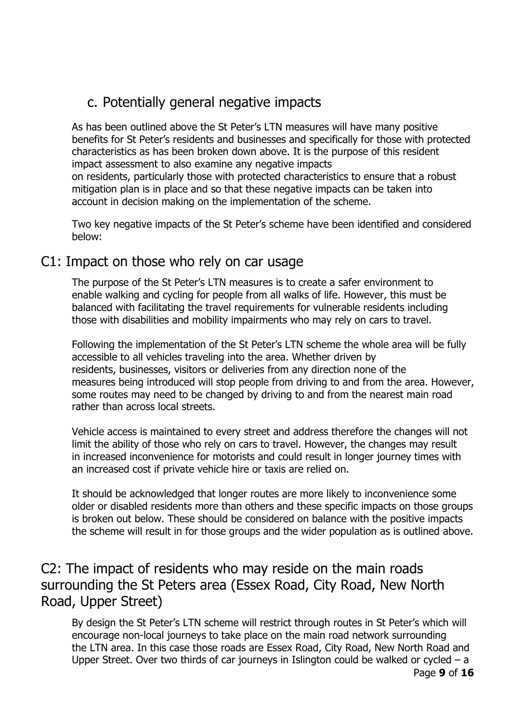## c. Potentially general negative impacts

As has been outlined above the St Peter's LTN measures will have many positive benefits for St Peter's residents and businesses and specifically for those with protected characteristics as has been broken down above. It is the purpose of this resident impact assessment to also examine any negative impacts on residents, particularly those with protected characteristics to ensure that a robust mitigation plan is in place and so that these negative impacts can be taken into

account in decision making on the implementation of the scheme.

Two key negative impacts of the St Peter's scheme have been identified and considered below:

#### C1: Impact on those who rely on car usage

The purpose of the St Peter's LTN measures is to create a safer environment to enable walking and cycling for people from all walks of life. However, this must be balanced with facilitating the travel requirements for vulnerable residents including those with disabilities and mobility impairments who may rely on cars to travel.

Following the implementation of the St Peter's LTN scheme the whole area will be fully accessible to all vehicles traveling into the area. Whether driven by residents, businesses, visitors or deliveries from any direction none of the measures being introduced will stop people from driving to and from the area. However, some routes may need to be changed by driving to and from the nearest main road rather than across local streets.

Vehicle access is maintained to every street and address therefore the changes will not limit the ability of those who rely on cars to travel. However, the changes may result in increased inconvenience for motorists and could result in longer journey times with an increased cost if private vehicle hire or taxis are relied on.

It should be acknowledged that longer routes are more likely to inconvenience some older or disabled residents more than others and these specific impacts on those groups is broken out below. These should be considered on balance with the positive impacts the scheme will result in for those groups and the wider population as is outlined above.

## C2: The impact of residents who may reside on the main roads surrounding the St Peters area (Essex Road, City Road, New North Road, Upper Street)

By design the St Peter's LTN scheme will restrict through routes in St Peter's which will encourage non-local journeys to take place on the main road network surrounding the LTN area. In this case those roads are Essex Road, City Road, New North Road and Upper Street. Over two thirds of car journeys in Islington could be walked or cycled  $-$  a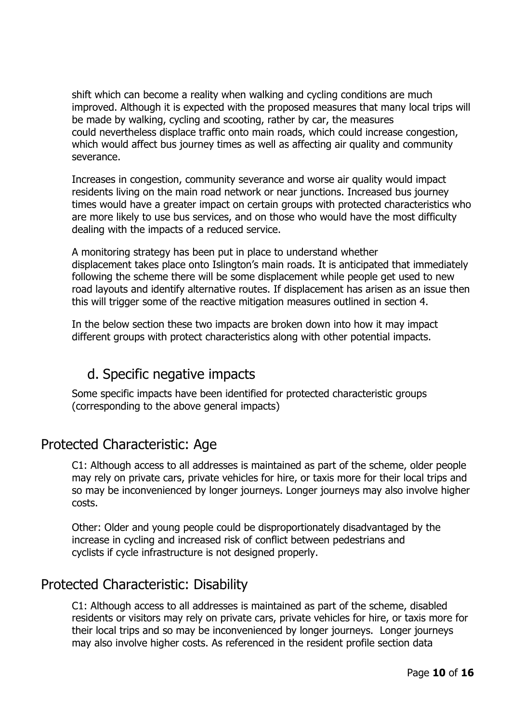shift which can become a reality when walking and cycling conditions are much improved. Although it is expected with the proposed measures that many local trips will be made by walking, cycling and scooting, rather by car, the measures could nevertheless displace traffic onto main roads, which could increase congestion, which would affect bus journey times as well as affecting air quality and community severance.

Increases in congestion, community severance and worse air quality would impact residents living on the main road network or near junctions. Increased bus journey times would have a greater impact on certain groups with protected characteristics who are more likely to use bus services, and on those who would have the most difficulty dealing with the impacts of a reduced service.

A monitoring strategy has been put in place to understand whether displacement takes place onto Islington's main roads. It is anticipated that immediately following the scheme there will be some displacement while people get used to new road layouts and identify alternative routes. If displacement has arisen as an issue then this will trigger some of the reactive mitigation measures outlined in section 4.

In the below section these two impacts are broken down into how it may impact different groups with protect characteristics along with other potential impacts.

## d. Specific negative impacts

Some specific impacts have been identified for protected characteristic groups (corresponding to the above general impacts)

## Protected Characteristic: Age

C1: Although access to all addresses is maintained as part of the scheme, older people may rely on private cars, private vehicles for hire, or taxis more for their local trips and so may be inconvenienced by longer journeys. Longer journeys may also involve higher costs.

Other: Older and young people could be disproportionately disadvantaged by the increase in cycling and increased risk of conflict between pedestrians and cyclists if cycle infrastructure is not designed properly.

## Protected Characteristic: Disability

C1: Although access to all addresses is maintained as part of the scheme, disabled residents or visitors may rely on private cars, private vehicles for hire, or taxis more for their local trips and so may be inconvenienced by longer journeys. Longer journeys may also involve higher costs. As referenced in the resident profile section data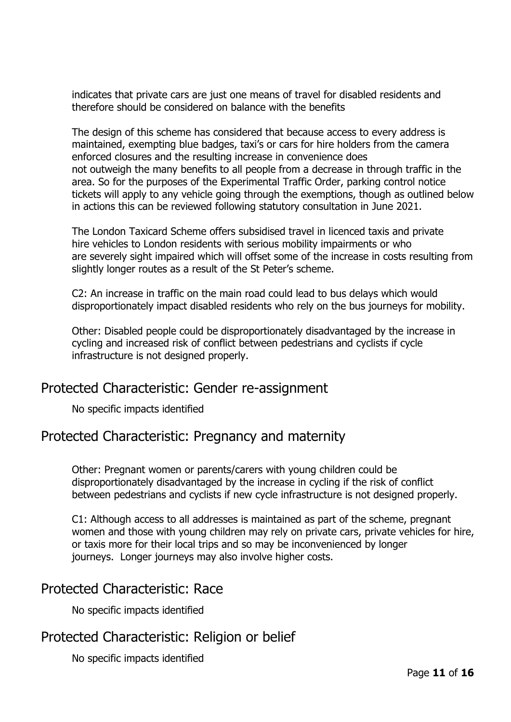indicates that private cars are just one means of travel for disabled residents and therefore should be considered on balance with the benefits

The design of this scheme has considered that because access to every address is maintained, exempting blue badges, taxi's or cars for hire holders from the camera enforced closures and the resulting increase in convenience does not outweigh the many benefits to all people from a decrease in through traffic in the area. So for the purposes of the Experimental Traffic Order, parking control notice tickets will apply to any vehicle going through the exemptions, though as outlined below in actions this can be reviewed following statutory consultation in June 2021.

The London Taxicard Scheme offers subsidised travel in licenced taxis and private hire vehicles to London residents with serious mobility impairments or who are severely sight impaired which will offset some of the increase in costs resulting from slightly longer routes as a result of the St Peter's scheme.

C2: An increase in traffic on the main road could lead to bus delays which would disproportionately impact disabled residents who rely on the bus journeys for mobility.

Other: Disabled people could be disproportionately disadvantaged by the increase in cycling and increased risk of conflict between pedestrians and cyclists if cycle infrastructure is not designed properly.

### Protected Characteristic: Gender re-assignment

No specific impacts identified

### Protected Characteristic: Pregnancy and maternity

Other: Pregnant women or parents/carers with young children could be disproportionately disadvantaged by the increase in cycling if the risk of conflict between pedestrians and cyclists if new cycle infrastructure is not designed properly.

C1: Although access to all addresses is maintained as part of the scheme, pregnant women and those with young children may rely on private cars, private vehicles for hire, or taxis more for their local trips and so may be inconvenienced by longer journeys. Longer journeys may also involve higher costs.

### Protected Characteristic: Race

No specific impacts identified

### Protected Characteristic: Religion or belief

No specific impacts identified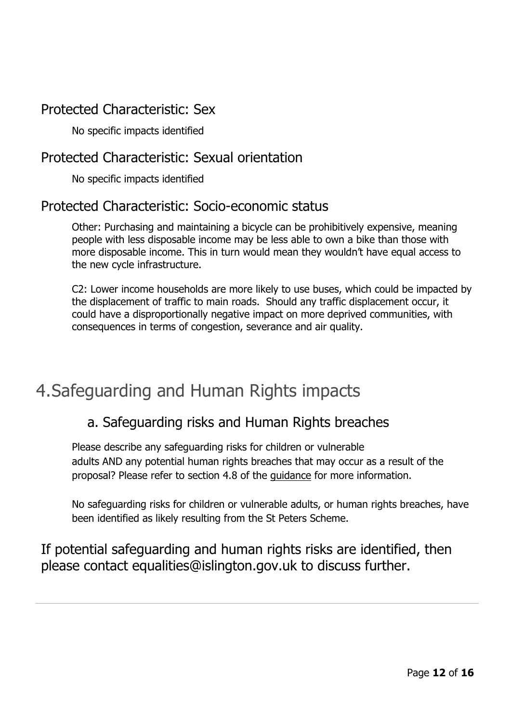## Protected Characteristic: Sex

No specific impacts identified

## Protected Characteristic: Sexual orientation

No specific impacts identified

## Protected Characteristic: Socio-economic status

Other: Purchasing and maintaining a bicycle can be prohibitively expensive, meaning people with less disposable income may be less able to own a bike than those with more disposable income. This in turn would mean they wouldn't have equal access to the new cycle infrastructure.

C2: Lower income households are more likely to use buses, which could be impacted by the displacement of traffic to main roads. Should any traffic displacement occur, it could have a disproportionally negative impact on more deprived communities, with consequences in terms of congestion, severance and air quality.

# 4.Safeguarding and Human Rights impacts

## a. Safeguarding risks and Human Rights breaches

Please describe any safeguarding risks for children or vulnerable adults AND any potential human rights breaches that may occur as a result of the proposal? Please refer to section 4.8 of the guidance for more information.

No safeguarding risks for children or vulnerable adults, or human rights breaches, have been identified as likely resulting from the St Peters Scheme.

If potential safeguarding and human rights risks are identified, then please contact equalities@islington.gov.uk to discuss further.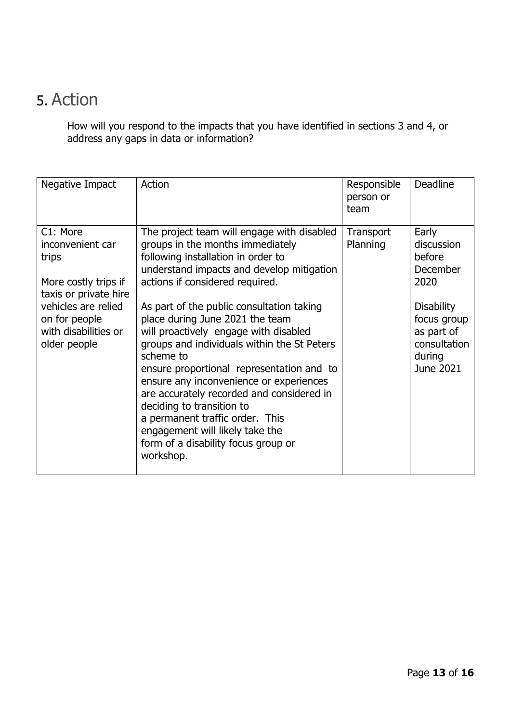## 5. Action

How will you respond to the impacts that you have identified in sections 3 and 4, or address any gaps in data or information?

| Negative Impact                                                                                                                                                        | Action                                                                                                                                                                                                                                                                                                                                                                                                                                                                                                                                                                                                                                                                                | Responsible<br>person or<br>team | <b>Deadline</b>                                                                                                                                   |
|------------------------------------------------------------------------------------------------------------------------------------------------------------------------|---------------------------------------------------------------------------------------------------------------------------------------------------------------------------------------------------------------------------------------------------------------------------------------------------------------------------------------------------------------------------------------------------------------------------------------------------------------------------------------------------------------------------------------------------------------------------------------------------------------------------------------------------------------------------------------|----------------------------------|---------------------------------------------------------------------------------------------------------------------------------------------------|
| C1: More<br>inconvenient car<br>trips<br>More costly trips if<br>taxis or private hire<br>vehicles are relied<br>on for people<br>with disabilities or<br>older people | The project team will engage with disabled<br>groups in the months immediately<br>following installation in order to<br>understand impacts and develop mitigation<br>actions if considered required.<br>As part of the public consultation taking<br>place during June 2021 the team<br>will proactively engage with disabled<br>groups and individuals within the St Peters<br>scheme to<br>ensure proportional representation and to<br>ensure any inconvenience or experiences<br>are accurately recorded and considered in<br>deciding to transition to<br>a permanent traffic order. This<br>engagement will likely take the<br>form of a disability focus group or<br>workshop. | Transport<br>Planning            | Early<br>discussion<br>before<br><b>December</b><br>2020<br><b>Disability</b><br>focus group<br>as part of<br>consultation<br>during<br>June 2021 |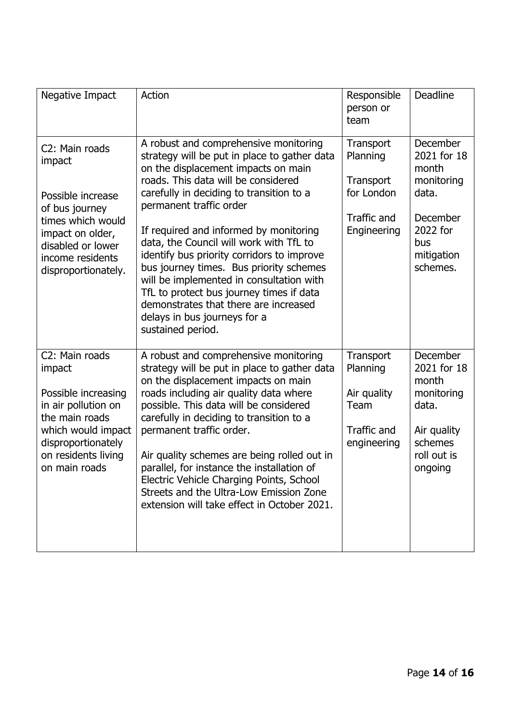| Negative Impact                                                                                                                                                              | Action                                                                                                                                                                                                                                                                                                                                                                                                                                                                                                                                                                                                         | Responsible<br>person or<br>team                                                  | Deadline                                                                                                         |
|------------------------------------------------------------------------------------------------------------------------------------------------------------------------------|----------------------------------------------------------------------------------------------------------------------------------------------------------------------------------------------------------------------------------------------------------------------------------------------------------------------------------------------------------------------------------------------------------------------------------------------------------------------------------------------------------------------------------------------------------------------------------------------------------------|-----------------------------------------------------------------------------------|------------------------------------------------------------------------------------------------------------------|
| C2: Main roads<br>impact<br>Possible increase<br>of bus journey<br>times which would<br>impact on older,<br>disabled or lower<br>income residents<br>disproportionately.     | A robust and comprehensive monitoring<br>strategy will be put in place to gather data<br>on the displacement impacts on main<br>roads. This data will be considered<br>carefully in deciding to transition to a<br>permanent traffic order<br>If required and informed by monitoring<br>data, the Council will work with TfL to<br>identify bus priority corridors to improve<br>bus journey times. Bus priority schemes<br>will be implemented in consultation with<br>TfL to protect bus journey times if data<br>demonstrates that there are increased<br>delays in bus journeys for a<br>sustained period. | Transport<br>Planning<br>Transport<br>for London<br>Traffic and<br>Engineering    | December<br>2021 for 18<br>month<br>monitoring<br>data.<br>December<br>2022 for<br>bus<br>mitigation<br>schemes. |
| C2: Main roads<br>impact<br>Possible increasing<br>in air pollution on<br>the main roads<br>which would impact<br>disproportionately<br>on residents living<br>on main roads | A robust and comprehensive monitoring<br>strategy will be put in place to gather data<br>on the displacement impacts on main<br>roads including air quality data where<br>possible. This data will be considered<br>carefully in deciding to transition to a<br>permanent traffic order.<br>Air quality schemes are being rolled out in<br>parallel, for instance the installation of<br>Electric Vehicle Charging Points, School<br>Streets and the Ultra-Low Emission Zone<br>extension will take effect in October 2021.                                                                                    | Transport<br>Planning<br>Air quality<br>Team<br><b>Traffic and</b><br>engineering | December<br>2021 for 18<br>month<br>monitoring<br>data.<br>Air quality<br>schemes<br>roll out is<br>ongoing      |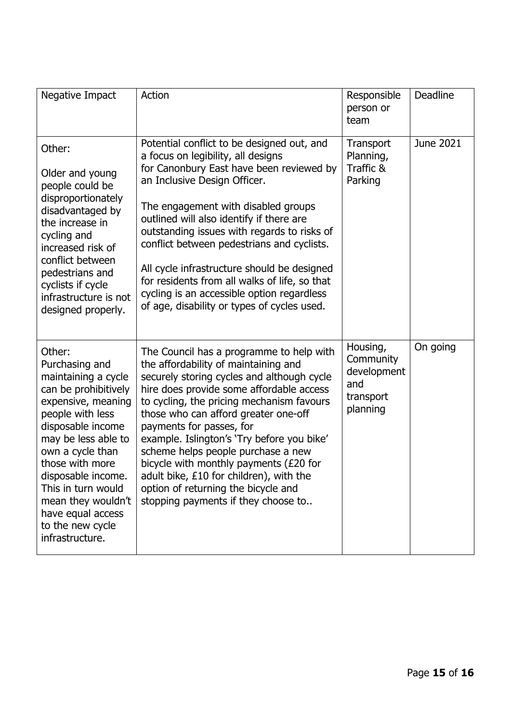| Negative Impact                                                                                                                                                                                                                                                                                                                    | Action                                                                                                                                                                                                                                                                                                                                                                                                                                                                                                                                             | Responsible<br>person or<br>team                                     | <b>Deadline</b> |
|------------------------------------------------------------------------------------------------------------------------------------------------------------------------------------------------------------------------------------------------------------------------------------------------------------------------------------|----------------------------------------------------------------------------------------------------------------------------------------------------------------------------------------------------------------------------------------------------------------------------------------------------------------------------------------------------------------------------------------------------------------------------------------------------------------------------------------------------------------------------------------------------|----------------------------------------------------------------------|-----------------|
| Other:<br>Older and young<br>people could be<br>disproportionately<br>disadvantaged by<br>the increase in<br>cycling and<br>increased risk of<br>conflict between<br>pedestrians and<br>cyclists if cycle<br>infrastructure is not<br>designed properly.                                                                           | Potential conflict to be designed out, and<br>a focus on legibility, all designs<br>for Canonbury East have been reviewed by<br>an Inclusive Design Officer.<br>The engagement with disabled groups<br>outlined will also identify if there are<br>outstanding issues with regards to risks of<br>conflict between pedestrians and cyclists.<br>All cycle infrastructure should be designed<br>for residents from all walks of life, so that<br>cycling is an accessible option regardless<br>of age, disability or types of cycles used.          | Transport<br>Planning,<br>Traffic &<br>Parking                       | June 2021       |
| Other:<br>Purchasing and<br>maintaining a cycle<br>can be prohibitively<br>expensive, meaning<br>people with less<br>disposable income<br>may be less able to<br>own a cycle than<br>those with more<br>disposable income.<br>This in turn would<br>mean they wouldn't<br>have equal access<br>to the new cycle<br>infrastructure. | The Council has a programme to help with<br>the affordability of maintaining and<br>securely storing cycles and although cycle<br>hire does provide some affordable access<br>to cycling, the pricing mechanism favours<br>those who can afford greater one-off<br>payments for passes, for<br>example. Islington's 'Try before you bike'<br>scheme helps people purchase a new<br>bicycle with monthly payments (£20 for<br>adult bike, £10 for children), with the<br>option of returning the bicycle and<br>stopping payments if they choose to | Housing,<br>Community<br>development<br>and<br>transport<br>planning | On going        |